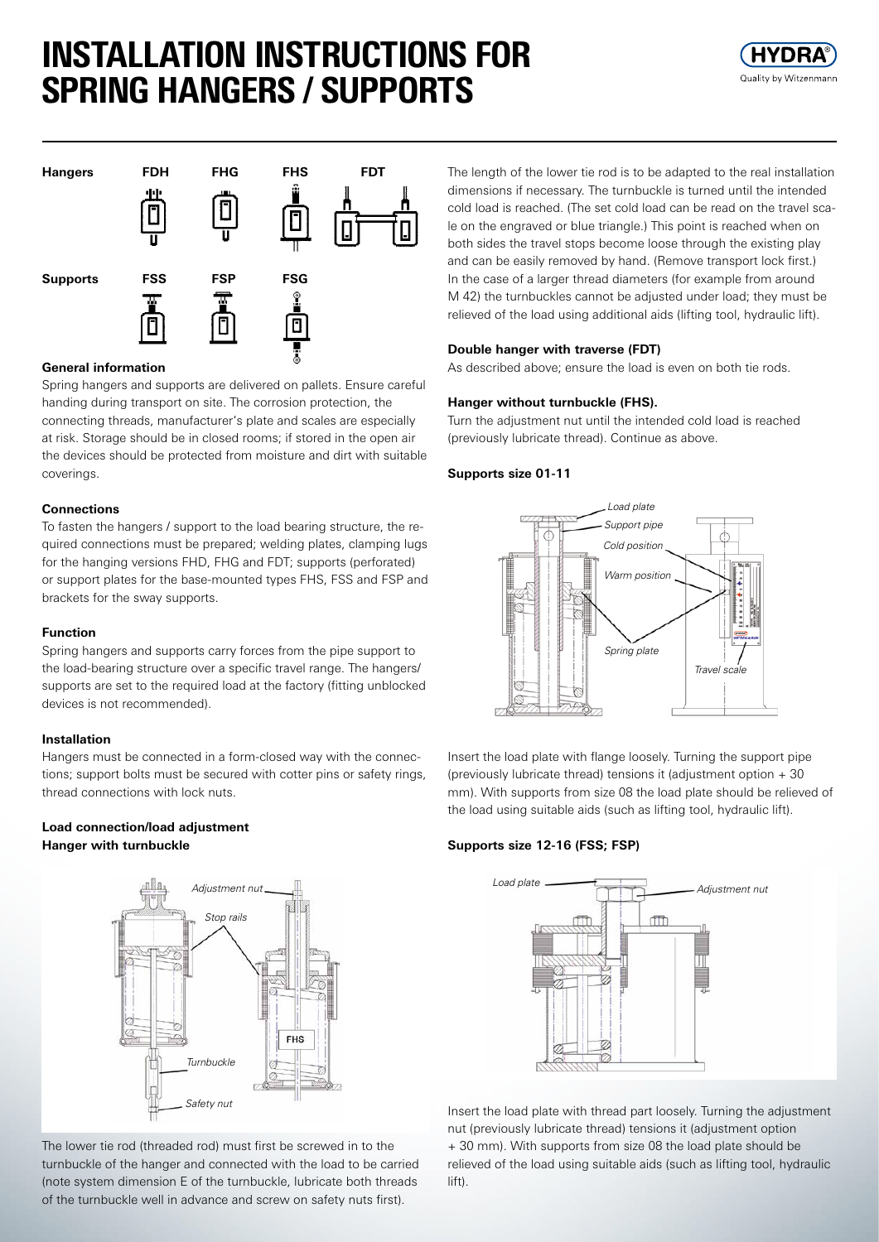# INSTALLATION INSTRUCTIONS FOR SPRING HANGERS / SUPPORTS





# **General information**

Spring hangers and supports are delivered on pallets. Ensure careful handing during transport on site. The corrosion protection, the connecting threads, manufacturer's plate and scales are especially at risk. Storage should be in closed rooms; if stored in the open air the devices should be protected from moisture and dirt with suitable coverings.

## **Connections**

To fasten the hangers / support to the load bearing structure, the required connections must be prepared; welding plates, clamping lugs for the hanging versions FHD, FHG and FDT; supports (perforated) or support plates for the base-mounted types FHS, FSS and FSP and brackets for the sway supports.

## **Function**

Spring hangers and supports carry forces from the pipe support to the load-bearing structure over a specific travel range. The hangers/ supports are set to the required load at the factory (fitting unblocked devices is not recommended).

## **Installation**

Hangers must be connected in a form-closed way with the connections; support bolts must be secured with cotter pins or safety rings, thread connections with lock nuts.

## **Load connection/load adjustment Hanger with turnbuckle**



The lower tie rod (threaded rod) must first be screwed in to the turnbuckle of the hanger and connected with the load to be carried (note system dimension E of the turnbuckle, lubricate both threads of the turnbuckle well in advance and screw on safety nuts first).

The length of the lower tie rod is to be adapted to the real installation dimensions if necessary. The turnbuckle is turned until the intended cold load is reached. (The set cold load can be read on the travel scale on the engraved or blue triangle.) This point is reached when on both sides the travel stops become loose through the existing play and can be easily removed by hand. (Remove transport lock first.) In the case of a larger thread diameters (for example from around M 42) the turnbuckles cannot be adjusted under load; they must be relieved of the load using additional aids (lifting tool, hydraulic lift).

## **Double hanger with traverse (FDT)**

As described above; ensure the load is even on both tie rods.

## **Hanger without turnbuckle (FHS).**

Turn the adjustment nut until the intended cold load is reached (previously lubricate thread). Continue as above.

## **Supports size 01-11**



Insert the load plate with flange loosely. Turning the support pipe (previously lubricate thread) tensions it (adjustment option + 30 mm). With supports from size 08 the load plate should be relieved of the load using suitable aids (such as lifting tool, hydraulic lift).

### **Supports size 12-16 (FSS; FSP)**



Insert the load plate with thread part loosely. Turning the adjustment nut (previously lubricate thread) tensions it (adjustment option + 30 mm). With supports from size 08 the load plate should be relieved of the load using suitable aids (such as lifting tool, hydraulic lift).